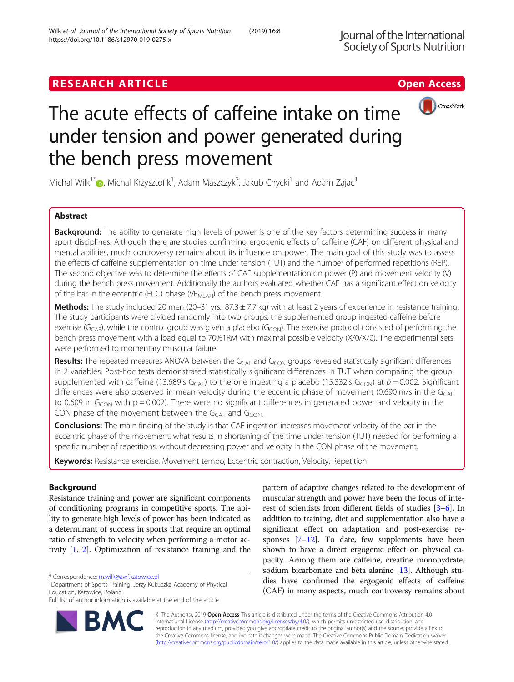

# The acute effects of caffeine intake on time under tension and power generated during the bench press movement

Michal Wilk<sup>1\*</sup>©[,](http://orcid.org/0000-0001-5799-6337) Michal Krzysztofik<sup>1</sup>, Adam Maszczyk<sup>2</sup>, Jakub Chycki<sup>1</sup> and Adam Zajac<sup>1</sup>

# Abstract

**Background:** The ability to generate high levels of power is one of the key factors determining success in many sport disciplines. Although there are studies confirming ergogenic effects of caffeine (CAF) on different physical and mental abilities, much controversy remains about its influence on power. The main goal of this study was to assess the effects of caffeine supplementation on time under tension (TUT) and the number of performed repetitions (REP). The second objective was to determine the effects of CAF supplementation on power (P) and movement velocity (V) during the bench press movement. Additionally the authors evaluated whether CAF has a significant effect on velocity of the bar in the eccentric (ECC) phase ( $VE<sub>MFAN</sub>$ ) of the bench press movement.

Methods: The study included 20 men (20–31 yrs.,  $87.3 \pm 7.7$  kg) with at least 2 years of experience in resistance training. The study participants were divided randomly into two groups: the supplemented group ingested caffeine before exercise ( $G_{CAF}$ ), while the control group was given a placebo ( $G_{CON}$ ). The exercise protocol consisted of performing the bench press movement with a load equal to 70%1RM with maximal possible velocity (X/0/X/0). The experimental sets were performed to momentary muscular failure.

**Results:** The repeated measures ANOVA between the G<sub>CAF</sub> and G<sub>CON</sub> groups revealed statistically significant differences in 2 variables. Post-hoc tests demonstrated statistically significant differences in TUT when comparing the group supplemented with caffeine (13.689 s G<sub>CAF</sub>) to the one ingesting a placebo (15.332 s G<sub>CON</sub>) at  $p = 0.002$ . Significant differences were also observed in mean velocity during the eccentric phase of movement (0.690 m/s in the  $G_{\text{CAF}}$ to 0.609 in G<sub>CON</sub> with  $p = 0.002$ ). There were no significant differences in generated power and velocity in the CON phase of the movement between the  $G_{CAF}$  and  $G_{CON}$ .

Conclusions: The main finding of the study is that CAF ingestion increases movement velocity of the bar in the eccentric phase of the movement, what results in shortening of the time under tension (TUT) needed for performing a specific number of repetitions, without decreasing power and velocity in the CON phase of the movement.

Keywords: Resistance exercise, Movement tempo, Eccentric contraction, Velocity, Repetition

# Background

Resistance training and power are significant components of conditioning programs in competitive sports. The ability to generate high levels of power has been indicated as a determinant of success in sports that require an optimal ratio of strength to velocity when performing a motor activity [\[1,](#page-5-0) [2](#page-5-0)]. Optimization of resistance training and the

Department of Sports Training, Jerzy Kukuczka Academy of Physical Education, Katowice, Poland

Full list of author information is available at the end of the article



pattern of adaptive changes related to the development of muscular strength and power have been the focus of interest of scientists from different fields of studies [[3](#page-5-0)–[6](#page-5-0)]. In addition to training, diet and supplementation also have a significant effect on adaptation and post-exercise responses [[7](#page-5-0)–[12](#page-5-0)]. To date, few supplements have been shown to have a direct ergogenic effect on physical capacity. Among them are caffeine, creatine monohydrate, sodium bicarbonate and beta alanine [\[13\]](#page-5-0). Although studies have confirmed the ergogenic effects of caffeine (CAF) in many aspects, much controversy remains about

© The Author(s). 2019 Open Access This article is distributed under the terms of the Creative Commons Attribution 4.0 International License [\(http://creativecommons.org/licenses/by/4.0/](http://creativecommons.org/licenses/by/4.0/)), which permits unrestricted use, distribution, and reproduction in any medium, provided you give appropriate credit to the original author(s) and the source, provide a link to the Creative Commons license, and indicate if changes were made. The Creative Commons Public Domain Dedication waiver [\(http://creativecommons.org/publicdomain/zero/1.0/](http://creativecommons.org/publicdomain/zero/1.0/)) applies to the data made available in this article, unless otherwise stated.

<sup>\*</sup> Correspondence: [m.wilk@awf.katowice.pl](mailto:m.wilk@awf.katowice.pl) <sup>1</sup>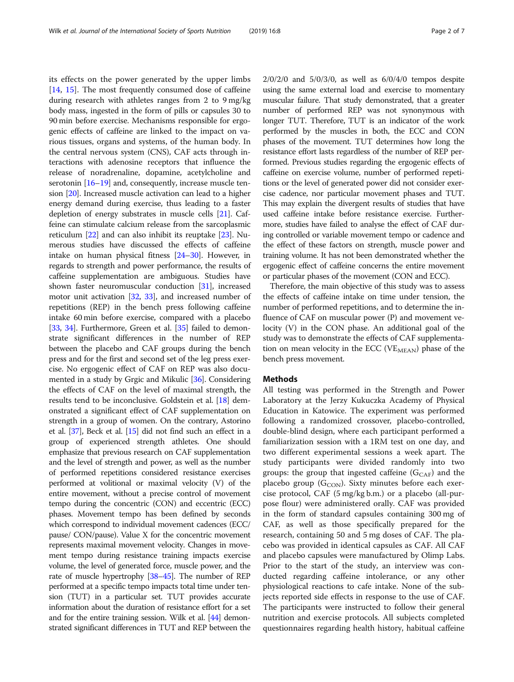its effects on the power generated by the upper limbs [[14,](#page-5-0) [15](#page-5-0)]. The most frequently consumed dose of caffeine during research with athletes ranges from 2 to 9 mg/kg body mass, ingested in the form of pills or capsules 30 to 90 min before exercise. Mechanisms responsible for ergogenic effects of caffeine are linked to the impact on various tissues, organs and systems, of the human body. In the central nervous system (CNS), CAF acts through interactions with adenosine receptors that influence the release of noradrenaline, dopamine, acetylcholine and serotonin [\[16](#page-5-0)–[19\]](#page-5-0) and, consequently, increase muscle tension [\[20\]](#page-5-0). Increased muscle activation can lead to a higher energy demand during exercise, thus leading to a faster depletion of energy substrates in muscle cells [\[21\]](#page-5-0). Caffeine can stimulate calcium release from the sarcoplasmic reticulum [\[22\]](#page-5-0) and can also inhibit its reuptake [\[23\]](#page-5-0). Numerous studies have discussed the effects of caffeine intake on human physical fitness [\[24](#page-5-0)–[30](#page-5-0)]. However, in regards to strength and power performance, the results of caffeine supplementation are ambiguous. Studies have shown faster neuromuscular conduction [\[31\]](#page-5-0), increased motor unit activation [[32](#page-5-0), [33](#page-5-0)], and increased number of repetitions (REP) in the bench press following caffeine intake 60 min before exercise, compared with a placebo [[33](#page-5-0), [34\]](#page-5-0). Furthermore, Green et al. [[35](#page-5-0)] failed to demonstrate significant differences in the number of REP between the placebo and CAF groups during the bench press and for the first and second set of the leg press exercise. No ergogenic effect of CAF on REP was also documented in a study by Grgic and Mikulic [\[36\]](#page-5-0). Considering the effects of CAF on the level of maximal strength, the results tend to be inconclusive. Goldstein et al. [\[18](#page-5-0)] demonstrated a significant effect of CAF supplementation on strength in a group of women. On the contrary, Astorino et al. [\[37\]](#page-5-0), Beck et al. [[15\]](#page-5-0) did not find such an effect in a group of experienced strength athletes. One should emphasize that previous research on CAF supplementation and the level of strength and power, as well as the number of performed repetitions considered resistance exercises performed at volitional or maximal velocity (V) of the entire movement, without a precise control of movement tempo during the concentric (CON) and eccentric (ECC) phases. Movement tempo has been defined by seconds which correspond to individual movement cadences (ECC/ pause/ CON/pause). Value X for the concentric movement represents maximal movement velocity. Changes in movement tempo during resistance training impacts exercise volume, the level of generated force, muscle power, and the rate of muscle hypertrophy [[38](#page-5-0)–[45](#page-6-0)]. The number of REP performed at a specific tempo impacts total time under tension (TUT) in a particular set. TUT provides accurate information about the duration of resistance effort for a set and for the entire training session. Wilk et al. [\[44](#page-5-0)] demonstrated significant differences in TUT and REP between the  $2/0/2/0$  and  $5/0/3/0$ , as well as  $6/0/4/0$  tempos despite using the same external load and exercise to momentary muscular failure. That study demonstrated, that a greater number of performed REP was not synonymous with longer TUT. Therefore, TUT is an indicator of the work performed by the muscles in both, the ECC and CON phases of the movement. TUT determines how long the resistance effort lasts regardless of the number of REP performed. Previous studies regarding the ergogenic effects of caffeine on exercise volume, number of performed repetitions or the level of generated power did not consider exercise cadence, nor particular movement phases and TUT. This may explain the divergent results of studies that have used caffeine intake before resistance exercise. Furthermore, studies have failed to analyse the effect of CAF during controlled or variable movement tempo or cadence and the effect of these factors on strength, muscle power and training volume. It has not been demonstrated whether the ergogenic effect of caffeine concerns the entire movement or particular phases of the movement (CON and ECC).

Therefore, the main objective of this study was to assess the effects of caffeine intake on time under tension, the number of performed repetitions, and to determine the influence of CAF on muscular power (P) and movement velocity (V) in the CON phase. An additional goal of the study was to demonstrate the effects of CAF supplementation on mean velocity in the ECC ( $VE<sub>MEAN</sub>$ ) phase of the bench press movement.

# Methods

All testing was performed in the Strength and Power Laboratory at the Jerzy Kukuczka Academy of Physical Education in Katowice. The experiment was performed following a randomized crossover, placebo-controlled, double-blind design, where each participant performed a familiarization session with a 1RM test on one day, and two different experimental sessions a week apart. The study participants were divided randomly into two groups: the group that ingested caffeine  $(G_{CAF})$  and the placebo group  $(G_{CON})$ . Sixty minutes before each exercise protocol, CAF (5 mg/kg b.m.) or a placebo (all-purpose flour) were administered orally. CAF was provided in the form of standard capsules containing 300 mg of CAF, as well as those specifically prepared for the research, containing 50 and 5 mg doses of CAF. The placebo was provided in identical capsules as CAF. All CAF and placebo capsules were manufactured by Olimp Labs. Prior to the start of the study, an interview was conducted regarding caffeine intolerance, or any other physiological reactions to cafe intake. None of the subjects reported side effects in response to the use of CAF. The participants were instructed to follow their general nutrition and exercise protocols. All subjects completed questionnaires regarding health history, habitual caffeine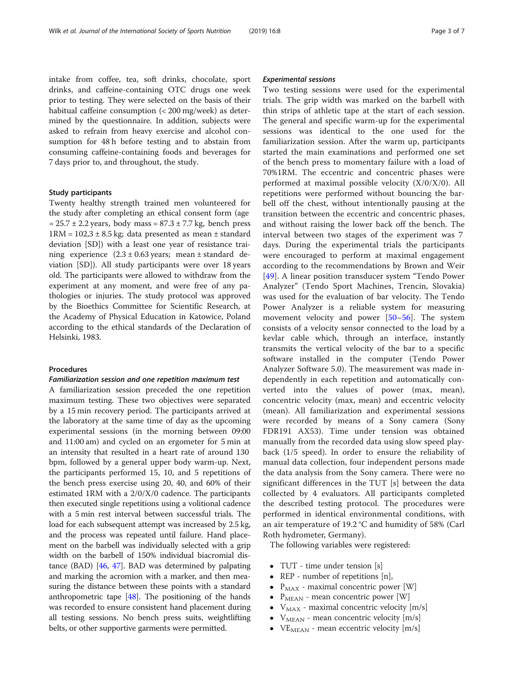intake from coffee, tea, soft drinks, chocolate, sport drinks, and caffeine-containing OTC drugs one week prior to testing. They were selected on the basis of their habitual caffeine consumption (< 200 mg/week) as determined by the questionnaire. In addition, subjects were asked to refrain from heavy exercise and alcohol consumption for 48 h before testing and to abstain from consuming caffeine-containing foods and beverages for 7 days prior to, and throughout, the study.

# Study participants

Twenty healthy strength trained men volunteered for the study after completing an ethical consent form (age  $= 25.7 \pm 2.2$  years, body mass  $= 87.3 \pm 7.7$  kg, bench press  $1RM = 102.3 \pm 8.5$  kg; data presented as mean  $\pm$  standard deviation [SD]) with a least one year of resistance training experience  $(2.3 \pm 0.63 \text{ years})$ ; mean  $\pm$  standard deviation [SD]). All study participants were over 18 years old. The participants were allowed to withdraw from the experiment at any moment, and were free of any pathologies or injuries. The study protocol was approved by the Bioethics Committee for Scientific Research, at the Academy of Physical Education in Katowice, Poland according to the ethical standards of the Declaration of Helsinki, 1983.

# Procedures

# Familiarization session and one repetition maximum test

A familiarization session preceded the one repetition maximum testing. These two objectives were separated by a 15 min recovery period. The participants arrived at the laboratory at the same time of day as the upcoming experimental sessions (in the morning between 09:00 and 11:00 am) and cycled on an ergometer for 5 min at an intensity that resulted in a heart rate of around 130 bpm, followed by a general upper body warm-up. Next, the participants performed 15, 10, and 5 repetitions of the bench press exercise using 20, 40, and 60% of their estimated 1RM with a 2/0/X/0 cadence. The participants then executed single repetitions using a volitional cadence with a 5 min rest interval between successful trials. The load for each subsequent attempt was increased by 2.5 kg, and the process was repeated until failure. Hand placement on the barbell was individually selected with a grip width on the barbell of 150% individual biacromial distance (BAD) [[46](#page-6-0), [47\]](#page-6-0). BAD was determined by palpating and marking the acromion with a marker, and then measuring the distance between these points with a standard anthropometric tape  $[48]$ . The positioning of the hands was recorded to ensure consistent hand placement during all testing sessions. No bench press suits, weightlifting belts, or other supportive garments were permitted.

# Experimental sessions

Two testing sessions were used for the experimental trials. The grip width was marked on the barbell with thin strips of athletic tape at the start of each session. The general and specific warm-up for the experimental sessions was identical to the one used for the familiarization session. After the warm up, participants started the main examinations and performed one set of the bench press to momentary failure with a load of 70%1RM. The eccentric and concentric phases were performed at maximal possible velocity (X/0/X/0). All repetitions were performed without bouncing the barbell off the chest, without intentionally pausing at the transition between the eccentric and concentric phases, and without raising the lower back off the bench. The interval between two stages of the experiment was 7 days. During the experimental trials the participants were encouraged to perform at maximal engagement according to the recommendations by Brown and Weir [[49\]](#page-6-0). A linear position transducer system "Tendo Power Analyzer" (Tendo Sport Machines, Trencin, Slovakia) was used for the evaluation of bar velocity. The Tendo Power Analyzer is a reliable system for measuring movement velocity and power [[50](#page-6-0)–[56\]](#page-6-0). The system consists of a velocity sensor connected to the load by a kevlar cable which, through an interface, instantly transmits the vertical velocity of the bar to a specific software installed in the computer (Tendo Power Analyzer Software 5.0). The measurement was made independently in each repetition and automatically converted into the values of power (max, mean), concentric velocity (max, mean) and eccentric velocity (mean). All familiarization and experimental sessions were recorded by means of a Sony camera (Sony FDR191 AX53). Time under tension was obtained manually from the recorded data using slow speed playback (1/5 speed). In order to ensure the reliability of manual data collection, four independent persons made the data analysis from the Sony camera. There were no significant differences in the TUT [s] between the data collected by 4 evaluators. All participants completed the described testing protocol. The procedures were performed in identical environmental conditions, with an air temperature of 19.2 °C and humidity of 58% (Carl Roth hydrometer, Germany).

The following variables were registered:

- TUT time under tension [s]
- REP number of repetitions [n],
- $P_{MAX}$  maximal concentric power [W]
- $P_{MEAN}$  mean concentric power [W]
- $V_{MAX}$  maximal concentric velocity [m/s]
- $V_{\text{MEAN}}$  mean concentric velocity [m/s]
- $VE<sub>MEAN</sub>$  mean eccentric velocity [m/s]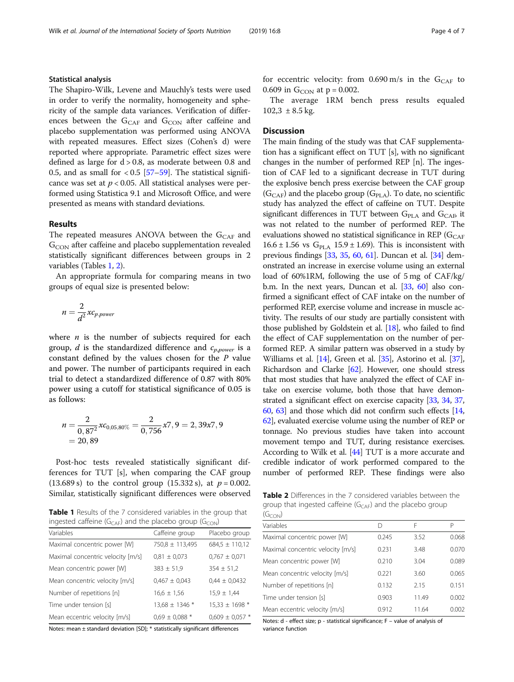# Statistical analysis

The Shapiro-Wilk, Levene and Mauchly's tests were used in order to verify the normality, homogeneity and sphericity of the sample data variances. Verification of differences between the  $G_{CAF}$  and  $G_{CON}$  after caffeine and placebo supplementation was performed using ANOVA with repeated measures. Effect sizes (Cohen's d) were reported where appropriate. Parametric effect sizes were defined as large for  $d > 0.8$ , as moderate between 0.8 and 0.5, and as small for  $< 0.5$  [\[57](#page-6-0)-[59](#page-6-0)]. The statistical significance was set at  $p < 0.05$ . All statistical analyses were performed using Statistica 9.1 and Microsoft Office, and were presented as means with standard deviations.

# Results

The repeated measures ANOVA between the  $G_{CAF}$  and  $G_{\text{CON}}$  after caffeine and placebo supplementation revealed statistically significant differences between groups in 2 variables (Tables 1, 2).

An appropriate formula for comparing means in two groups of equal size is presented below:

$$
n = \frac{2}{d^2} x c_{p.power}
$$

where  $n$  is the number of subjects required for each group,  $d$  is the standardized difference and  $c_{p,power}$  is a constant defined by the values chosen for the P value and power. The number of participants required in each trial to detect a standardized difference of 0.87 with 80% power using a cutoff for statistical significance of 0.05 is as follows:

$$
n = \frac{2}{0,87^2}xc_{0,05,80\%} = \frac{2}{0,756}x^7,9 = 2,39x^7,9
$$
  
= 20,89

Post-hoc tests revealed statistically significant differences for TUT [s], when comparing the CAF group (13.689 s) to the control group (15.332 s), at  $p = 0.002$ . Similar, statistically significant differences were observed

Table 1 Results of the 7 considered variables in the group that ingested caffeine ( $G_{CAF}$ ) and the placebo group ( $G_{CON}$ )

| Variables                         | Caffeine group     | Placebo group       |
|-----------------------------------|--------------------|---------------------|
| Maximal concentric power [W]      | 750,8 ± 113,495    | $684.5 \pm 110.12$  |
| Maximal concentric velocity [m/s] | $0.81 \pm 0.073$   | $0.767 \pm 0.071$   |
| Mean concentric power [W]         | $383 \pm 51.9$     | $354 \pm 51.2$      |
| Mean concentric velocity [m/s]    | $0,467 \pm 0,043$  | $0,44 \pm 0,0432$   |
| Number of repetitions [n]         | $16.6 \pm 1.56$    | $15.9 \pm 1.44$     |
| Time under tension [s]            | $13,68 \pm 1346$ * | $15.33 \pm 1698$ *  |
| Mean eccentric velocity [m/s]     | $0.69 \pm 0.088$ * | $0,609 \pm 0,057$ * |

Notes: mean ± standard deviation [SD]; \* statistically significant differences

for eccentric velocity: from 0.690 m/s in the  $G_{CAF}$  to 0.609 in  $G_{\text{CON}}$  at p = 0.002.

The average 1RM bench press results equaled  $102,3 \pm 8.5$  kg.

# **Discussion**

The main finding of the study was that CAF supplementation has a significant effect on TUT [s], with no significant changes in the number of performed REP [n]. The ingestion of CAF led to a significant decrease in TUT during the explosive bench press exercise between the CAF group  $(G_{CAF})$  and the placebo group  $(G_{PLA})$ . To date, no scientific study has analyzed the effect of caffeine on TUT. Despite significant differences in TUT between  $G_{\text{PLA}}$  and  $G_{\text{CAP}}$  it was not related to the number of performed REP. The evaluations showed no statistical significance in REP ( $G_{\rm CAF}$  $16.6 \pm 1.56$  vs  $G_{\text{PLA}}$  15.9  $\pm$  1.69). This is inconsistent with previous findings [\[33,](#page-5-0) [35,](#page-5-0) [60](#page-6-0), [61](#page-6-0)]. Duncan et al. [[34](#page-5-0)] demonstrated an increase in exercise volume using an external load of 60%1RM, following the use of 5 mg of CAF/kg/ b.m. In the next years, Duncan et al. [[33](#page-5-0), [60](#page-6-0)] also confirmed a significant effect of CAF intake on the number of performed REP, exercise volume and increase in muscle activity. The results of our study are partially consistent with those published by Goldstein et al.  $[18]$  $[18]$  $[18]$ , who failed to find the effect of CAF supplementation on the number of performed REP. A similar pattern was observed in a study by Williams et al. [[14](#page-5-0)], Green et al. [[35](#page-5-0)], Astorino et al. [\[37](#page-5-0)], Richardson and Clarke [\[62\]](#page-6-0). However, one should stress that most studies that have analyzed the effect of CAF intake on exercise volume, both those that have demonstrated a significant effect on exercise capacity [\[33,](#page-5-0) [34,](#page-5-0) [37](#page-5-0), [60](#page-6-0), [63](#page-6-0)] and those which did not confirm such effects [\[14](#page-5-0), [62](#page-6-0)], evaluated exercise volume using the number of REP or tonnage. No previous studies have taken into account movement tempo and TUT, during resistance exercises. According to Wilk et al. [\[44](#page-5-0)] TUT is a more accurate and credible indicator of work performed compared to the number of performed REP. These findings were also

Table 2 Differences in the 7 considered variables between the group that ingested caffeine ( $G_{\text{CAF}}$ ) and the placebo group  $(G_{COM})$ 

| I ACOIAN                          |       |       |       |
|-----------------------------------|-------|-------|-------|
| Variables                         | D     | F     | Р     |
| Maximal concentric power [W]      | 0.245 | 3.52  | 0.068 |
| Maximal concentric velocity [m/s] | 0.231 | 3.48  | 0.070 |
| Mean concentric power [W]         | 0.210 | 3.04  | 0.089 |
| Mean concentric velocity [m/s]    | 0.221 | 3.60  | 0.065 |
| Number of repetitions [n]         | 0.132 | 2.15  | 0.151 |
| Time under tension [s]            | 0.903 | 11.49 | 0.002 |
| Mean eccentric velocity [m/s]     | 0.912 | 11.64 | 0.002 |

Notes: d - effect size; p - statistical significance; F – value of analysis of variance function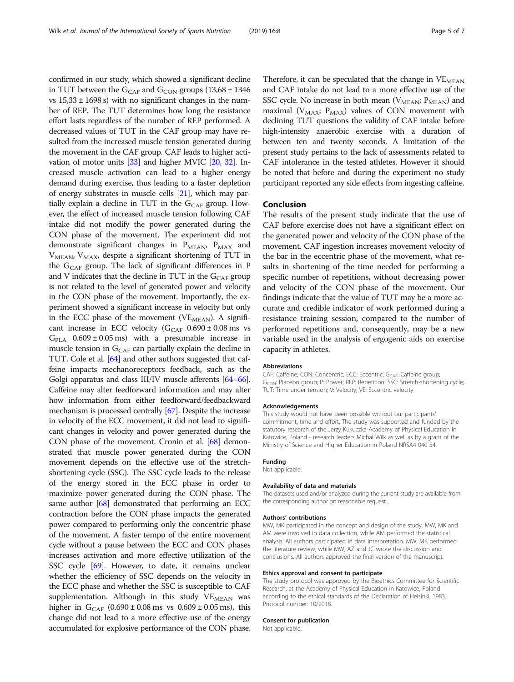confirmed in our study, which showed a significant decline in TUT between the  $G_{CAF}$  and  $G_{CON}$  groups (13,68 ± 1346 vs  $15,33 \pm 1698$  s) with no significant changes in the number of REP. The TUT determines how long the resistance effort lasts regardless of the number of REP performed. A decreased values of TUT in the CAF group may have resulted from the increased muscle tension generated during the movement in the CAF group. CAF leads to higher activation of motor units [\[33\]](#page-5-0) and higher MVIC [\[20,](#page-5-0) [32\]](#page-5-0). Increased muscle activation can lead to a higher energy demand during exercise, thus leading to a faster depletion of energy substrates in muscle cells [\[21\]](#page-5-0), which may partially explain a decline in TUT in the  $G_{CAF}$  group. However, the effect of increased muscle tension following CAF intake did not modify the power generated during the CON phase of the movement. The experiment did not demonstrate significant changes in  $P_{MFAN}$ ,  $P_{MAX}$  and  $V_{\text{MEAN}}$ ,  $V_{\text{MAX}}$ , despite a significant shortening of TUT in the  $G_{CAF}$  group. The lack of significant differences in P and V indicates that the decline in TUT in the  $G_{CAF}$  group is not related to the level of generated power and velocity in the CON phase of the movement. Importantly, the experiment showed a significant increase in velocity but only in the ECC phase of the movement ( $VE<sub>MEAN</sub>$ ). A significant increase in ECC velocity ( $G_{\text{CAF}}$  0.690 ± 0.08 ms vs  $G<sub>PLA</sub>$  0.609 ± 0.05 ms) with a presumable increase in muscle tension in  $G_{CAF}$  can partially explain the decline in TUT. Cole et al. [\[64\]](#page-6-0) and other authors suggested that caffeine impacts mechanoreceptors feedback, such as the Golgi apparatus and class III/IV muscle afferents [[64](#page-6-0)–[66](#page-6-0)]. Caffeine may alter feedforward information and may alter how information from either feedforward/feedbackward mechanism is processed centrally [\[67](#page-6-0)]. Despite the increase in velocity of the ECC movement, it did not lead to significant changes in velocity and power generated during the CON phase of the movement. Cronin et al. [\[68](#page-6-0)] demonstrated that muscle power generated during the CON movement depends on the effective use of the stretchshortening cycle (SSC). The SSC cycle leads to the release of the energy stored in the ECC phase in order to maximize power generated during the CON phase. The same author [[68](#page-6-0)] demonstrated that performing an ECC contraction before the CON phase impacts the generated power compared to performing only the concentric phase of the movement. A faster tempo of the entire movement cycle without a pause between the ECC and CON phases increases activation and more effective utilization of the SSC cycle [\[69\]](#page-6-0). However, to date, it remains unclear whether the efficiency of SSC depends on the velocity in the ECC phase and whether the SSC is susceptible to CAF supplementation. Although in this study  $VE<sub>MEAN</sub>$  was higher in  $G_{\text{CAF}}$  (0.690 ± 0.08 ms vs 0.609 ± 0.05 ms), this change did not lead to a more effective use of the energy accumulated for explosive performance of the CON phase. Therefore, it can be speculated that the change in  $VE<sub>MEAN</sub>$ and CAF intake do not lead to a more effective use of the SSC cycle. No increase in both mean  $(V_{MEAN}$ ;  $P_{MEAN}$ ) and maximal ( $V_{MAX}$ ;  $P_{MAX}$ ) values of CON movement with declining TUT questions the validity of CAF intake before high-intensity anaerobic exercise with a duration of between ten and twenty seconds. A limitation of the present study pertains to the lack of assessments related to CAF intolerance in the tested athletes. However it should be noted that before and during the experiment no study participant reported any side effects from ingesting caffeine.

# Conclusion

The results of the present study indicate that the use of CAF before exercise does not have a significant effect on the generated power and velocity of the CON phase of the movement. CAF ingestion increases movement velocity of the bar in the eccentric phase of the movement, what results in shortening of the time needed for performing a specific number of repetitions, without decreasing power and velocity of the CON phase of the movement. Our findings indicate that the value of TUT may be a more accurate and credible indicator of work performed during a resistance training session, compared to the number of performed repetitions and, consequently, may be a new variable used in the analysis of ergogenic aids on exercise capacity in athletes.

## Abbreviations

CAF: Caffeine; CON: Concentric; ECC: Eccentric; G<sub>CAF</sub>: Caffeine group; G<sub>CON</sub>: Placebo group; P: Power; REP: Repetition; SSC: Stretch-shortening cycle; TUT: Time under tension; V: Velocity; VE: Eccentric velocity

#### Acknowledgements

This study would not have been possible without our participants' commitment, time and effort. The study was supported and funded by the statutory research of the Jerzy Kukuczka Academy of Physical Education in Katowice, Poland - research leaders Michał Wilk as well as by a grant of the Ministry of Science and Higher Education in Poland NRSA4 040 54.

# Funding

Not applicable.

#### Availability of data and materials

The datasets used and/or analyzed during the current study are available from the corresponding author on reasonable request.

#### Authors' contributions

MW, MK participated in the concept and design of the study. MW, MK and AM were involved in data collection, while AM performed the statistical analysis. All authors participated in data interpretation. MW, MK performed the literature review, while MW, AZ and JC wrote the discussion and conclusions. All authors approved the final version of the manuscript.

#### Ethics approval and consent to participate

The study protocol was approved by the Bioethics Committee for Scientific Research, at the Academy of Physical Education in Katowice, Poland according to the ethical standards of the Declaration of Helsinki, 1983. Protocol number: 10/2018.

#### Consent for publication

Not applicable.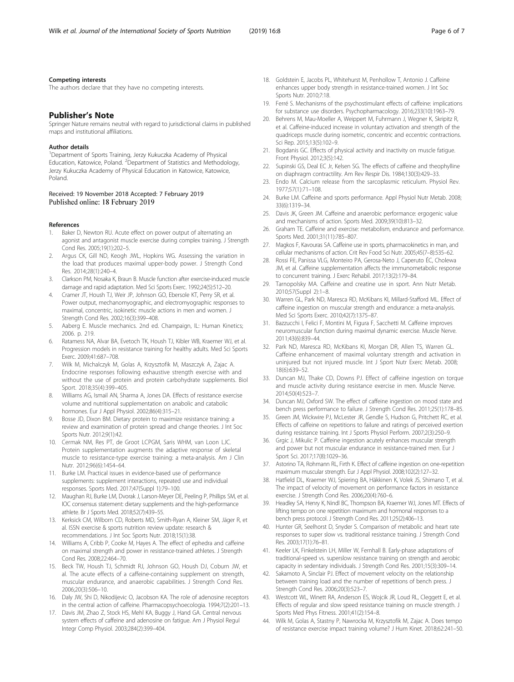#### <span id="page-5-0"></span>Competing interests

The authors declare that they have no competing interests.

#### Publisher's Note

Springer Nature remains neutral with regard to jurisdictional claims in published maps and institutional affiliations.

#### Author details

<sup>1</sup>Department of Sports Training, Jerzy Kukuczka Academy of Physical Education, Katowice, Poland. <sup>2</sup>Department of Statistics and Methodology, Jerzy Kukuczka Academy of Physical Education in Katowice, Katowice, Poland.

# Received: 19 November 2018 Accepted: 7 February 2019 Published online: 18 February 2019

#### References

- 1. Baker D, Newton RU. Acute effect on power output of alternating an agonist and antagonist muscle exercise during complex training. J Strength Cond Res. 2005;19(1):202–5.
- 2. Argus CK, Gill ND, Keogh JWL, Hopkins WG. Assessing the variation in the load that produces maximal upper-body power. J Strength Cond Res. 2014;28(1):240–4.
- 3. Clarkson PM, Nosaka K, Braun B. Muscle function after exercise-induced muscle damage and rapid adaptation. Med Sci Sports Exerc. 1992;24(5):512–20.
- Cramer JT, Housh TJ, Weir JP, Johnson GO, Ebersole KT, Perry SR, et al. Power output, mechanomyographic, and electromyographic responses to maximal, concentric, isokinetic muscle actions in men and women. J Strength Cond Res. 2002;16(3):399–408.
- 5. Aaberg E. Muscle mechanics. 2nd ed. Champaign, IL: Human Kinetics; 2006. p. 219.
- 6. Ratamess NA, Alvar BA, Evetoch TK, Housh TJ, Kibler WB, Kraemer WJ, et al. Progression models in resistance training for healthy adults. Med Sci Sports Exerc. 2009;41:687–708.
- 7. Wilk M, Michalczyk M, Golas A, Krzysztofik M, Maszczyk A, Zajac A. Endocrine responses following exhaustive strength exercise with and without the use of protein and protein carbohydrate supplements. Biol Sport. 2018;35(4):399–405.
- 8. Williams AG, Ismail AN, Sharma A, Jones DA. Effects of resistance exercise volume and nutritional supplementation on anabolic and catabolic hormones. Eur J Appl Physiol. 2002;86(4):315–21.
- 9. Bosse JD, Dixon BM. Dietary protein to maximize resistance training: a review and examination of protein spread and change theories. J Int Soc Sports Nutr. 2012;9(1):42.
- 10. Cermak NM, Res PT, de Groot LCPGM, Saris WHM, van Loon LJC. Protein supplementation augments the adaptive response of skeletal muscle to resistance-type exercise training: a meta-analysis. Am J Clin Nutr. 2012;96(6):1454–64.
- 11. Burke LM. Practical issues in evidence-based use of performance supplements: supplement interactions, repeated use and individual responses. Sports Med. 2017;47(Suppl 1):79–100.
- 12. Maughan RJ, Burke LM, Dvorak J, Larson-Meyer DE, Peeling P, Phillips SM, et al. IOC consensus statement: dietary supplements and the high-performance athlete. Br J Sports Med. 2018;52(7):439–55.
- 13. Kerksick CM, Wilborn CD, Roberts MD, Smith-Ryan A, Kleiner SM, Jäger R, et al. ISSN exercise & sports nutrition review update: research & recommendations. J Int Soc Sports Nutr. 2018;15(1):38.
- 14. Williams A, Cribb P, Cooke M, Hayes A. The effect of ephedra and caffeine on maximal strength and power in resistance-trained athletes. J Strength Cond Res. 2008;22:464–70.
- 15. Beck TW, Housh TJ, Schmidt RJ, Johnson GO, Housh DJ, Coburn JW, et al. The acute effects of a caffeine-containing supplement on strength, muscular endurance, and anaerobic capabilities. J Strength Cond Res. 2006;20(3):506–10.
- 16. Daly JW, Shi D, Nikodijevic O, Jacobson KA. The role of adenosine receptors in the central action of caffeine. Pharmacopsychoecologia. 1994;7(2):201–13.
- 17. Davis JM, Zhao Z, Stock HS, Mehl KA, Buggy J, Hand GA. Central nervous system effects of caffeine and adenosine on fatigue. Am J Physiol Regul Integr Comp Physiol. 2003;284(2):399–404.
- 18. Goldstein E, Jacobs PL, Whitehurst M, Penhollow T, Antonio J. Caffeine enhances upper body strength in resistance-trained women. J Int Soc Sports Nutr. 2010;7:18.
- 19. Ferré S. Mechanisms of the psychostimulant effects of caffeine: implications for substance use disorders. Psychopharmacology. 2016;233(10):1963–79.
- 20. Behrens M, Mau-Moeller A, Weippert M, Fuhrmann J, Wegner K, Skripitz R, et al. Caffeine-induced increase in voluntary activation and strength of the quadriceps muscle during isometric, concentric and eccentric contractions. Sci Rep. 2015;13(5):102–9.
- 21. Bogdanis GC. Effects of physical activity and inactivity on muscle fatigue. Front Physiol. 2012;3(5):142.
- 22. Supinski GS, Deal EC Jr, Kelsen SG. The effects of caffeine and theophylline on diaphragm contractility. Am Rev Respir Dis. 1984;130(3):429–33.
- 23. Endo M. Calcium release from the sarcoplasmic reticulum. Physiol Rev. 1977;57(1):71–108.
- 24. Burke LM. Caffeine and sports performance. Appl Physiol Nutr Metab. 2008; 33(6):1319–34.
- 25. Davis JK, Green JM, Caffeine and anaerobic performance: ergogenic value and mechanisms of action. Sports Med. 2009;39(10):813–32.
- 26. Graham TE. Caffeine and exercise: metabolism, endurance and performance. Sports Med. 2001;31(11):785–807.
- 27. Magkos F, Kavouras SA. Caffeine use in sports, pharmacokinetics in man, and cellular mechanisms of action. Crit Rev Food Sci Nutr. 2005;45(7–8):535–62.
- 28. Rossi FE, Panissa VLG, Monteiro PA, Gerosa-Neto J, Caperuto ÉC, Cholewa JM, et al. Caffeine supplementation affects the immunometabolic response to concurrent training. J Exerc Rehabil. 2017;13(2):179–84.
- 29. Tarnopolsky MA. Caffeine and creatine use in sport. Ann Nutr Metab. 2010;57(Suppl 2):1–8.
- 30. Warren GL, Park ND, Maresca RD, McKibans KI, Millard-Stafford ML. Effect of caffeine ingestion on muscular strength and endurance: a meta-analysis. Med Sci Sports Exerc. 2010;42(7):1375–87.
- 31. Bazzucchi I, Felici F, Montini M, Figura F, Sacchetti M. Caffeine improves neuromuscular function during maximal dynamic exercise. Muscle Nerve. 2011;43(6):839–44.
- 32. Park ND, Maresca RD, McKibans KI, Morgan DR, Allen TS, Warren GL. Caffeine enhancement of maximal voluntary strength and activation in uninjured but not injured muscle. Int J Sport Nutr Exerc Metab. 2008; 18(6):639–52.
- 33. Duncan MJ, Thake CD, Downs PJ. Effect of caffeine ingestion on torque and muscle activity during resistance exercise in men. Muscle Nerve. 2014;50(4):523–7.
- 34. Duncan MJ, Oxford SW. The effect of caffeine ingestion on mood state and bench press performance to failure. J Strength Cond Res. 2011;25(1):178–85.
- 35. Green JM, Wickwire PJ, McLester JR, Gendle S, Hudson G, Pritchett RC, et al. Effects of caffeine on repetitions to failure and ratings of perceived exertion during resistance training. Int J Sports Physiol Perform. 2007;2(3):250–9.
- 36. Grgic J, Mikulic P. Caffeine ingestion acutely enhances muscular strength and power but not muscular endurance in resistance-trained men. Eur J Sport Sci. 2017;17(8):1029–36.
- 37. Astorino TA, Rohmann RL, Firth K. Effect of caffeine ingestion on one-repetition maximum muscular strength. Eur J Appl Physiol. 2008;102(2):127–32.
- 38. Hatfield DL, Kraemer WJ, Spiering BA, Häkkinen K, Volek JS, Shimano T, et al. The impact of velocity of movement on performance factors in resistance exercise. J Strength Cond Res. 2006;20(4):760–6.
- 39. Headley SA, Henry K, Nindl BC, Thompson BA, Kraemer WJ, Jones MT. Effects of lifting tempo on one repetition maximum and hormonal responses to a bench press protocol. J Strength Cond Res. 2011;25(2):406–13.
- 40. Hunter GR, Seelhorst D, Snyder S. Comparison of metabolic and heart rate responses to super slow vs. traditional resistance training. J Strength Cond Res. 2003;17(1):76–81.
- 41. Keeler LK, Finkelstein LH, Miller W, Fernhall B. Early-phase adaptations of traditional-speed vs. superslow resistance training on strength and aerobic capacity in sedentary individuals. J Strength Cond Res. 2001;15(3):309–14.
- 42. Sakamoto A, Sinclair PJ. Effect of movement velocity on the relationship between training load and the number of repetitions of bench press. J Strength Cond Res. 2006;20(3):523–7.
- 43. Westcott WL, Winett RA, Anderson ES, Wojcik JR, Loud RL, Cleggett E, et al. Effects of regular and slow speed resistance training on muscle strength. J Sports Med Phys Fitness. 2001;41(2):154–8.
- 44. Wilk M, Golas A, Stastny P, Nawrocka M, Krzysztofik M, Zajac A. Does tempo of resistance exercise impact training volume? J Hum Kinet. 2018;62:241–50.